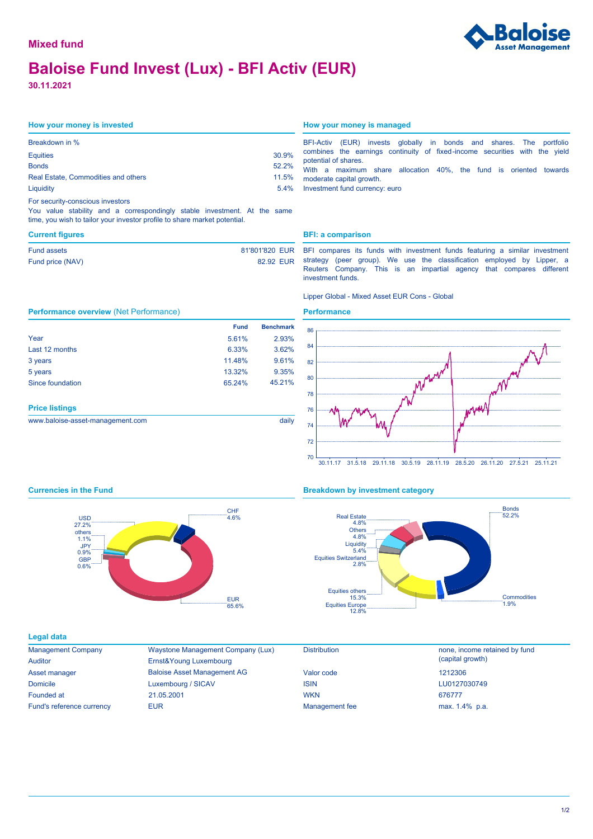# **Baloise Fund Invest (Lux) - BFI Activ (EUR)**

**30.11.2021**

| Breakdown in %                      |       |
|-------------------------------------|-------|
| <b>Equities</b>                     | 30.9% |
| <b>Bonds</b>                        | 52.2% |
| Real Estate, Commodities and others | 11.5% |
| Liquidity                           | 5.4%  |

### For security-conscious investors

**Performance overview** (Net Performance)

You value stability and a correspondingly stable investment. At the same time, you wish to tailor your investor profile to share market potential.

Year Last 12 months 3 years 5 years Since foundation

**Price listings**

| Fund assets      | 81'801'820 EUR |  |
|------------------|----------------|--|
| Fund price (NAV) | 82.92 EUR      |  |

## **How your money is invested How your money is managed**

| BFI-Activ (EUR) invests globally in bonds and shares. The portfolio                                                   |  |  |  |  |  |  |  |  |  |
|-----------------------------------------------------------------------------------------------------------------------|--|--|--|--|--|--|--|--|--|
| combines the earnings continuity of fixed-income securities with the yield                                            |  |  |  |  |  |  |  |  |  |
| potential of shares.                                                                                                  |  |  |  |  |  |  |  |  |  |
| <b>AAPH</b> is a set of the set of the set of $A \cap D$ and $E$ and $E$ and the set of the problem of the set of $E$ |  |  |  |  |  |  |  |  |  |

With a maximum share allocation 40%, the fund is oriented towards moderate capital growth.

Investment fund currency: euro

### **Current figures BFI: a comparison**

BFI compares its funds with investment funds featuring a similar investment strategy (peer group). We use the classification employed by Lipper, a Reuters Company. This is an impartial agency that compares different investment funds.

### Lipper Global - Mixed Asset EUR Cons - Global

## **Performance**

 5.61% 2.93% 6.33% 3.62% 11.48% 9.61% 13.32% 9.35%

65.24% 45.21%

**Fund Benchmark**





www.baloise-asset-management.com daily

# **Currencies in the Fund Breakdown by investment category**



### **Legal data**

| <b>Management Company</b> |
|---------------------------|
| Auditor                   |
| Asset manager             |
| <b>Domicile</b>           |
| Founded at                |
| Fund's reference currency |

Baloise Asset Management AG Waystone Management Company (Lux) Luxembourg / SICAV Ernst&Young Luxembourg EUR **EUR** max. 1.4% p.a. 21.05.2001

| Valor code            |  |
|-----------------------|--|
| ISIN                  |  |
| <b>WKN</b>            |  |
| <b>Management</b> fee |  |
|                       |  |

Distribution **none**, income retained by fund (capital growth) LU0127030749 676777 1212306